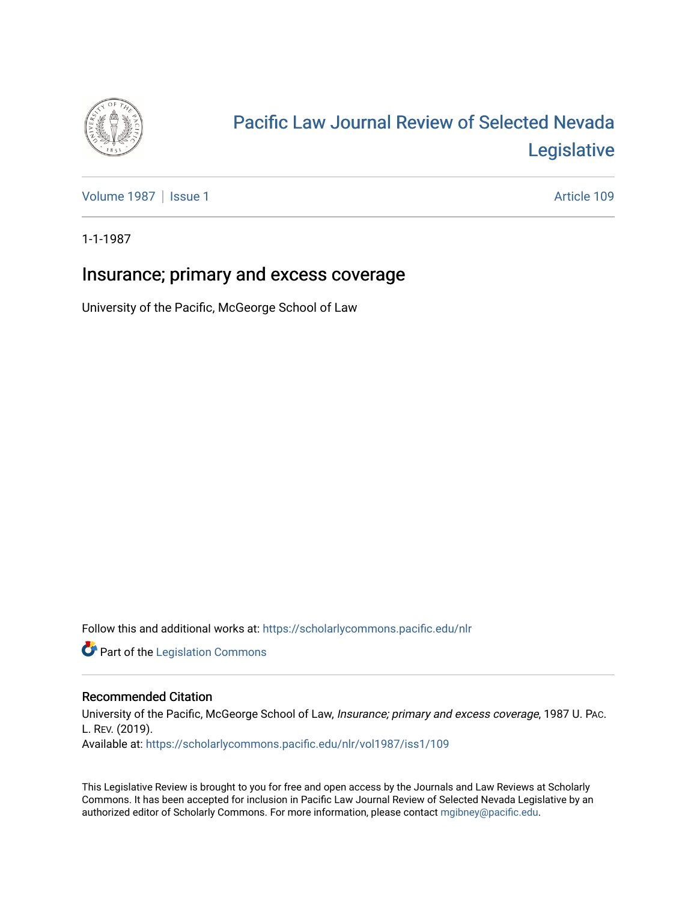

# [Pacific Law Journal Review of Selected Nevada](https://scholarlycommons.pacific.edu/nlr)  [Legislative](https://scholarlycommons.pacific.edu/nlr)

[Volume 1987](https://scholarlycommons.pacific.edu/nlr/vol1987) | [Issue 1](https://scholarlycommons.pacific.edu/nlr/vol1987/iss1) Article 109

1-1-1987

## Insurance; primary and excess coverage

University of the Pacific, McGeorge School of Law

Follow this and additional works at: [https://scholarlycommons.pacific.edu/nlr](https://scholarlycommons.pacific.edu/nlr?utm_source=scholarlycommons.pacific.edu%2Fnlr%2Fvol1987%2Fiss1%2F109&utm_medium=PDF&utm_campaign=PDFCoverPages) 

**Part of the [Legislation Commons](http://network.bepress.com/hgg/discipline/859?utm_source=scholarlycommons.pacific.edu%2Fnlr%2Fvol1987%2Fiss1%2F109&utm_medium=PDF&utm_campaign=PDFCoverPages)** 

### Recommended Citation

University of the Pacific, McGeorge School of Law, Insurance; primary and excess coverage, 1987 U. PAC. L. REV. (2019). Available at: [https://scholarlycommons.pacific.edu/nlr/vol1987/iss1/109](https://scholarlycommons.pacific.edu/nlr/vol1987/iss1/109?utm_source=scholarlycommons.pacific.edu%2Fnlr%2Fvol1987%2Fiss1%2F109&utm_medium=PDF&utm_campaign=PDFCoverPages) 

This Legislative Review is brought to you for free and open access by the Journals and Law Reviews at Scholarly Commons. It has been accepted for inclusion in Pacific Law Journal Review of Selected Nevada Legislative by an authorized editor of Scholarly Commons. For more information, please contact [mgibney@pacific.edu](mailto:mgibney@pacific.edu).